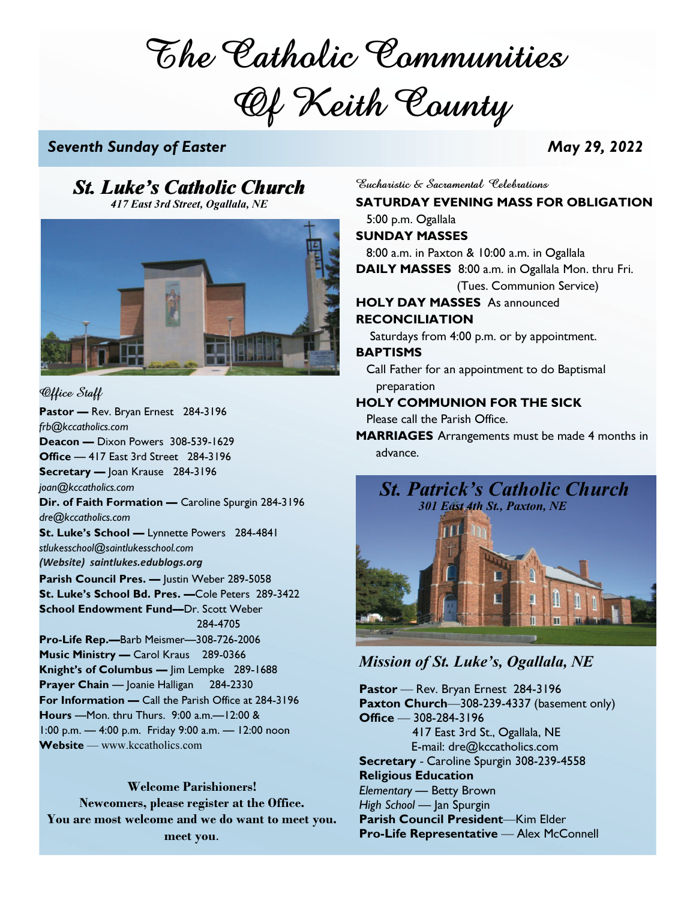The Catholic Communities Of Keith County

# Seventh Sunday of Easter May 29, 2022

# $St.$  Luke's Catholic Church Sucharistic & Sacramental Celebrations

417 East 3rd Street, Ogallala, NE



Office Staff Pastor - Rev. Bryan Ernest 284-3196 frb@kccatholics.com Deacon — Dixon Powers 308-539-1629 Office — 417 East 3rd Street 284-3196 Secretary — Joan Krause 284-3196 joan@kccatholics.com Dir. of Faith Formation - Caroline Spurgin 284-3196 dre@kccatholics.com St. Luke's School — Lynnette Powers 284-4841 stlukesschool@saintlukesschool.com (Website) saintlukes.edublogs.org Parish Council Pres. - Justin Weber 289-5058 St. Luke's School Bd. Pres. —Cole Peters 289-3422 School Endowment Fund—Dr. Scott Weber 284-4705 Pro-Life Rep.—Barb Meismer—308-726-2006 Music Ministry — Carol Kraus 289-0366 Knight's of Columbus — Jim Lempke 289-1688 Prayer Chain — Joanie Halligan 284-2330 For Information — Call the Parish Office at 284-3196 Hours —Mon. thru Thurs. 9:00 a.m.—12:00 & 1:00 p.m. — 4:00 p.m. Friday 9:00 a.m. — 12:00 noon Website — www.kccatholics.com

### Welcome Parishioners!

Newcomers, please register at the Office. You are most welcome and we do want to meet you. meet you.

SATURDAY EVENING MASS FOR OBLIGATION 5:00 p.m. Ogallala SUNDAY MASSES 8:00 a.m. in Paxton & 10:00 a.m. in Ogallala DAILY MASSES 8:00 a.m. in Ogallala Mon. thru Fri. (Tues. Communion Service) HOLY DAY MASSES As announced RECONCILIATION Saturdays from 4:00 p.m. or by appointment. BAPTISMS Call Father for an appointment to do Baptismal preparation HOLY COMMUNION FOR THE SICK Please call the Parish Office. MARRIAGES Arrangements must be made 4 months in advance.



# Mission of St. Luke's, Ogallala, NE

Pastor – Rev. Bryan Ernest 284-3196 Paxton Church-308-239-4337 (basement only)  $Office - 308-284-3196$  417 East 3rd St., Ogallala, NE E-mail: dre@kccatholics.com Secretary - Caroline Spurgin 308-239-4558 Religious Education Elementary — Betty Brown High School — Jan Spurgin Parish Council President-Kim Elder Pro-Life Representative - Alex McConnell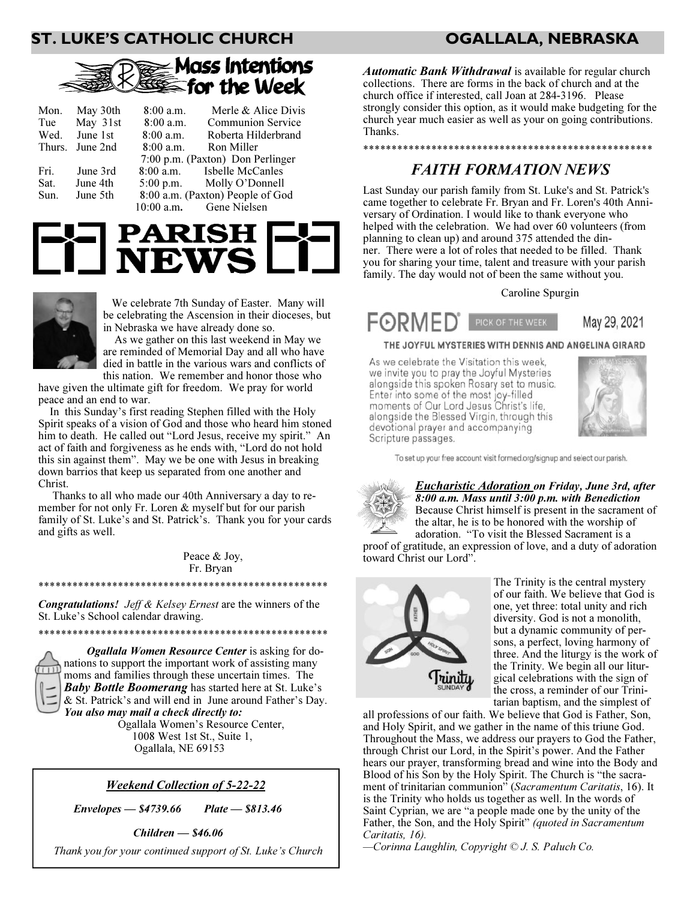# ST. LUKE'S CATHOLIC CHURCH OGALLALA, NEBRASKA



| Mon.<br>Wed.         | May 30th<br>Tue May 31st<br>June 1st | $8:00$ a.m.<br>$8:00$ a.m.<br>$8:00$ a.m. | Merle & Alice Divis<br>Communion Service<br>Roberta Hilderbrand                                             |
|----------------------|--------------------------------------|-------------------------------------------|-------------------------------------------------------------------------------------------------------------|
|                      | Thurs. June 2nd                      | $8:00$ a.m.                               | Ron Miller<br>7:00 p.m. (Paxton) Don Perlinger                                                              |
| Fri.<br>Sat.<br>Sun. | June 3rd<br>June 4th<br>June 5th     | $10:00$ a.m.                              | 8:00 a.m. Isbelle McCanles<br>5:00 p.m. Molly O'Donnell<br>8:00 a.m. (Paxton) People of God<br>Gene Nielsen |





 We celebrate 7th Sunday of Easter. Many will be celebrating the Ascension in their dioceses, but in Nebraska we have already done so.

 As we gather on this last weekend in May we are reminded of Memorial Day and all who have died in battle in the various wars and conflicts of this nation. We remember and honor those who

have given the ultimate gift for freedom. We pray for world peace and an end to war.

 In this Sunday's first reading Stephen filled with the Holy Spirit speaks of a vision of God and those who heard him stoned him to death. He called out "Lord Jesus, receive my spirit." An act of faith and forgiveness as he ends with, "Lord do not hold this sin against them". May we be one with Jesus in breaking down barrios that keep us separated from one another and Christ.

 Thanks to all who made our 40th Anniversary a day to remember for not only Fr. Loren & myself but for our parish family of St. Luke's and St. Patrick's. Thank you for your cards and gifts as well.

> Peace & Joy, Fr. Bryan

Congratulations! Jeff & Kelsey Ernest are the winners of the St. Luke's School calendar drawing.

\*\*\*\*\*\*\*\*\*\*\*\*\*\*\*\*\*\*\*\*\*\*\*\*\*\*\*\*\*\*\*\*\*\*\*\*\*\*\*\*\*\*\*\*\*\*\*\*\*\*\*

\*\*\*\*\*\*\*\*\*\*\*\*\*\*\*\*\*\*\*\*\*\*\*\*\*\*\*\*\*\*\*\*\*\*\*\*\*\*\*\*\*\*\*\*\*\*\*\*\*\*\*

 Ogallala Women Resource Center is asking for donations to support the important work of assisting many moms and families through these uncertain times. The Baby Bottle Boomerang has started here at St. Luke's & St. Patrick's and will end in June around Father's Day. You also may mail a check directly to:

 Ogallala Women's Resource Center, 1008 West 1st St., Suite 1, Ogallala, NE 69153

### Weekend Collection of 5-22-22

 $Envelopes - $4739.66$  Plate  $Plate - $813.46$ 

Children — \$46.06

Thank you for your continued support of St. Luke's Church

**Automatic Bank Withdrawal** is available for regular church collections. There are forms in the back of church and at the church office if interested, call Joan at 284-3196. Please strongly consider this option, as it would make budgeting for the church year much easier as well as your on going contributions. Thanks.

# \*\*\*\*\*\*\*\*\*\*\*\*\*\*\*\*\*\*\*\*\*\*\*\*\*\*\*\*\*\*\*\*\*\*\*\*\*\*\*\*\*\*\*\*\*\*\*\*\*\*\*

# FAITH FORMATION NEWS

Last Sunday our parish family from St. Luke's and St. Patrick's came together to celebrate Fr. Bryan and Fr. Loren's 40th Anniversary of Ordination. I would like to thank everyone who helped with the celebration. We had over 60 volunteers (from planning to clean up) and around 375 attended the dinner. There were a lot of roles that needed to be filled. Thank you for sharing your time, talent and treasure with your parish family. The day would not of been the same without you.

Caroline Spurgin



THE JOYFUL MYSTERIES WITH DENNIS AND ANGELINA GIRARD

As we celebrate the Visitation this week, we invite you to pray the Joyful Mysteries alongside this spoken Rosary set to music. Enter into some of the most joy-filled moments of Our Lord Jesus Christ's life, alongside the Blessed Virgin, through this devotional prayer and accompanying Scripture passages.



To set up your free account visit formed.org/signup and select our parish.

**Eucharistic Adoration on Friday, June 3rd, after** 8:00 a.m. Mass until 3:00 p.m. with Benediction Because Christ himself is present in the sacrament of the altar, he is to be honored with the worship of adoration. "To visit the Blessed Sacrament is a

proof of gratitude, an expression of love, and a duty of adoration toward Christ our Lord".



The Trinity is the central mystery of our faith. We believe that God is one, yet three: total unity and rich diversity. God is not a monolith, but a dynamic community of persons, a perfect, loving harmony of three. And the liturgy is the work of the Trinity. We begin all our liturgical celebrations with the sign of the cross, a reminder of our Trinitarian baptism, and the simplest of

all professions of our faith. We believe that God is Father, Son, and Holy Spirit, and we gather in the name of this triune God. Throughout the Mass, we address our prayers to God the Father, through Christ our Lord, in the Spirit's power. And the Father hears our prayer, transforming bread and wine into the Body and Blood of his Son by the Holy Spirit. The Church is "the sacrament of trinitarian communion" (Sacramentum Caritatis, 16). It is the Trinity who holds us together as well. In the words of Saint Cyprian, we are "a people made one by the unity of the Father, the Son, and the Holy Spirit" (quoted in Sacramentum Caritatis, 16).

-Corinna Laughlin, Copyright © J. S. Paluch Co.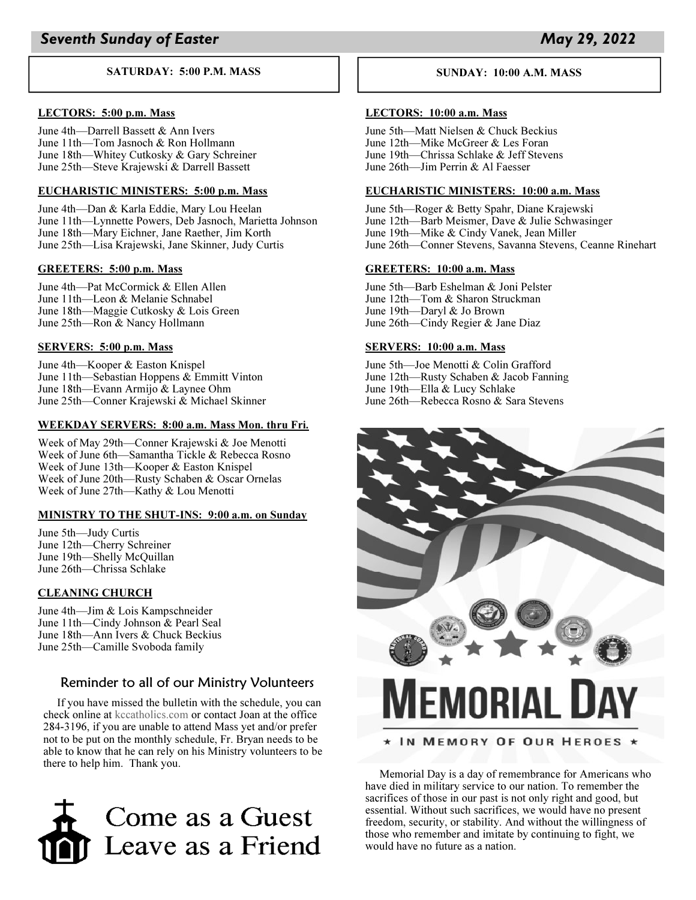#### SATURDAY: 5:00 P.M. MASS

#### LECTORS: 5:00 p.m. Mass

June 4th-Darrell Bassett & Ann Ivers June 11th-Tom Jasnoch & Ron Hollmann June 18th—Whitey Cutkosky & Gary Schreiner June 25th-Steve Krajewski & Darrell Bassett

### EUCHARISTIC MINISTERS: 5:00 p.m. Mass

June 4th-Dan & Karla Eddie, Mary Lou Heelan June 11th—Lynnette Powers, Deb Jasnoch, Marietta Johnson June 18th—Mary Eichner, Jane Raether, Jim Korth June 25th—Lisa Krajewski, Jane Skinner, Judy Curtis

#### GREETERS: 5:00 p.m. Mass

June 4th-Pat McCormick & Ellen Allen June 11th-Leon & Melanie Schnabel June 18th—Maggie Cutkosky & Lois Green June 25th—Ron & Nancy Hollmann

#### SERVERS: 5:00 p.m. Mass

June 4th-Kooper & Easton Knispel June  $11th$ —Sebastian Hoppens & Emmitt Vinton June 18th—Evann Armijo  $&$  Laynee Ohm June 25th—Conner Krajewski & Michael Skinner

### WEEKDAY SERVERS: 8:00 a.m. Mass Mon. thru Fri.

Week of May 29th-Conner Krajewski & Joe Menotti Week of June 6th-Samantha Tickle & Rebecca Rosno Week of June 13th-Kooper & Easton Knispel Week of June 20th-Rusty Schaben & Oscar Ornelas Week of June 27th-Kathy & Lou Menotti

#### MINISTRY TO THE SHUT-INS: 9:00 a.m. on Sunday

June 5th—Judy Curtis June 12th-Cherry Schreiner June 19th-Shelly McQuillan June 26th-Chrissa Schlake

#### CLEANING CHURCH

June 4th-Jim & Lois Kampschneider June 11th-Cindy Johnson & Pearl Seal June 18th—Ann Ivers & Chuck Beckius June 25th—Camille Svoboda family

## Reminder to all of our Ministry Volunteers

 If you have missed the bulletin with the schedule, you can check online at kccatholics.com or contact Joan at the office 2843196, if you are unable to attend Mass yet and/or prefer not to be put on the monthly schedule, Fr. Bryan needs to be able to know that he can rely on his Ministry volunteers to be there to help him. Thank you.



#### SUNDAY: 10:00 A.M. MASS

#### LECTORS: 10:00 a.m. Mass

June 5th-Matt Nielsen & Chuck Beckius June 12th-Mike McGreer & Les Foran June 19th—Chrissa Schlake & Jeff Stevens June  $26th$ —Jim Perrin & Al Faesser

#### EUCHARISTIC MINISTERS: 10:00 a.m. Mass

June 5th-Roger & Betty Spahr, Diane Krajewski June 12th—Barb Meismer, Dave  $&$  Julie Schwasinger June 19th—Mike & Cindy Vanek, Jean Miller June 26th—Conner Stevens, Savanna Stevens, Ceanne Rinehart

#### GREETERS: 10:00 a.m. Mass

June 5th-Barb Eshelman & Joni Pelster June 12th-Tom & Sharon Struckman June 19th-Daryl & Jo Brown June 26th—Cindy Regier & Jane Diaz

#### SERVERS: 10:00 a.m. Mass

June 5th-Joe Menotti & Colin Grafford June 12th—Rusty Schaben  $&$  Jacob Fanning June 19th-Ella & Lucy Schlake June 26th-Rebecca Rosno & Sara Stevens



### \* IN MEMORY OF OUR HEROES \*

 Memorial Day is a day of remembrance for Americans who have died in military service to our nation. To remember the sacrifices of those in our past is not only right and good, but essential. Without such sacrifices, we would have no present freedom, security, or stability. And without the willingness of those who remember and imitate by continuing to fight, we would have no future as a nation.